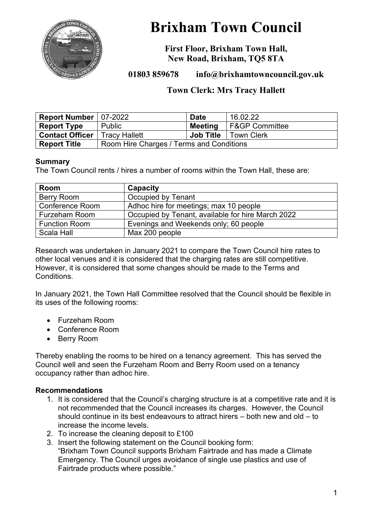

# **Brixham Town Council**

**First Floor, Brixham Town Hall, New Road, Brixham, TQ5 8TA**

# **01803 859678 info@brixhamtowncouncil.gov.uk**

# **Town Clerk: Mrs Tracy Hallett**

| Report Number   07-2022 |                                          | <b>Date</b>      | 16.02.22            |
|-------------------------|------------------------------------------|------------------|---------------------|
| <b>Report Type</b>      | Public                                   | Meeting          | I F&GP Committee    |
| <b>Contact Officer</b>  | <b>Tracy Hallett</b>                     | <b>Job Title</b> | <b>I Town Clerk</b> |
| <b>Report Title</b>     | Room Hire Charges / Terms and Conditions |                  |                     |

#### **Summary**

The Town Council rents / hires a number of rooms within the Town Hall, these are:

| Room                   | Capacity                                          |
|------------------------|---------------------------------------------------|
| <b>Berry Room</b>      | Occupied by Tenant                                |
| <b>Conference Room</b> | Adhoc hire for meetings; max 10 people            |
| <b>Furzeham Room</b>   | Occupied by Tenant, available for hire March 2022 |
| <b>Function Room</b>   | Evenings and Weekends only; 60 people             |
| Scala Hall             | Max 200 people                                    |

Research was undertaken in January 2021 to compare the Town Council hire rates to other local venues and it is considered that the charging rates are still competitive. However, it is considered that some changes should be made to the Terms and Conditions.

In January 2021, the Town Hall Committee resolved that the Council should be flexible in its uses of the following rooms:

- Furzeham Room
- Conference Room
- Berry Room

Thereby enabling the rooms to be hired on a tenancy agreement. This has served the Council well and seen the Furzeham Room and Berry Room used on a tenancy occupancy rather than adhoc hire.

#### **Recommendations**

- 1. It is considered that the Council's charging structure is at a competitive rate and it is not recommended that the Council increases its charges. However, the Council should continue in its best endeavours to attract hirers – both new and old – to increase the income levels.
- 2. To increase the cleaning deposit to £100
- 3. Insert the following statement on the Council booking form: "Brixham Town Council supports Brixham Fairtrade and has made a Climate Emergency. The Council urges avoidance of single use plastics and use of Fairtrade products where possible."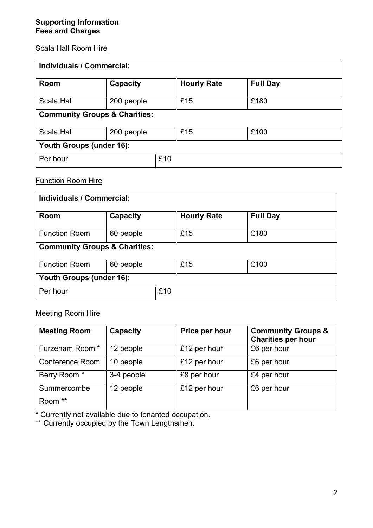#### Scala Hall Room Hire

| <b>Individuals / Commercial:</b>         |            |     |                    |                 |  |
|------------------------------------------|------------|-----|--------------------|-----------------|--|
| Room                                     | Capacity   |     | <b>Hourly Rate</b> | <b>Full Day</b> |  |
| Scala Hall                               | 200 people |     | £15                | £180            |  |
| <b>Community Groups &amp; Charities:</b> |            |     |                    |                 |  |
| <b>Scala Hall</b>                        | 200 people |     | £15                | £100            |  |
| Youth Groups (under 16):                 |            |     |                    |                 |  |
| Per hour                                 |            | £10 |                    |                 |  |

### Function Room Hire

| Individuals / Commercial:                |           |     |                    |                 |  |
|------------------------------------------|-----------|-----|--------------------|-----------------|--|
| <b>Room</b>                              | Capacity  |     | <b>Hourly Rate</b> | <b>Full Day</b> |  |
| <b>Function Room</b>                     | 60 people |     | £15                | £180            |  |
| <b>Community Groups &amp; Charities:</b> |           |     |                    |                 |  |
| <b>Function Room</b>                     | 60 people |     | £15                | £100            |  |
| Youth Groups (under 16):                 |           |     |                    |                 |  |
| Per hour                                 |           | £10 |                    |                 |  |

## Meeting Room Hire

| <b>Meeting Room</b>    | Capacity   | Price per hour | <b>Community Groups &amp;</b><br><b>Charities per hour</b> |
|------------------------|------------|----------------|------------------------------------------------------------|
| Furzeham Room *        | 12 people  | £12 per hour   | £6 per hour                                                |
| <b>Conference Room</b> | 10 people  | £12 per hour   | £6 per hour                                                |
| Berry Room *           | 3-4 people | £8 per hour    | £4 per hour                                                |
| Summercombe            | 12 people  | £12 per hour   | £6 per hour                                                |
| Room **                |            |                |                                                            |

\* Currently not available due to tenanted occupation.

\*\* Currently occupied by the Town Lengthsmen.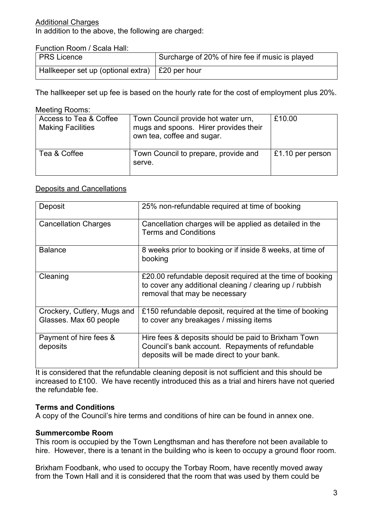#### Additional Charges

In addition to the above, the following are charged:

Function Room / Scala Hall:

| <b>PRS</b> Licence                                | Surcharge of 20% of hire fee if music is played |
|---------------------------------------------------|-------------------------------------------------|
| Hallkeeper set up (optional extra)   £20 per hour |                                                 |

The hallkeeper set up fee is based on the hourly rate for the cost of employment plus 20%.

#### Meeting Rooms:

| Access to Tea & Coffee<br><b>Making Facilities</b> | Town Council provide hot water urn,<br>mugs and spoons. Hirer provides their<br>own tea, coffee and sugar. | £10.00           |
|----------------------------------------------------|------------------------------------------------------------------------------------------------------------|------------------|
| Tea & Coffee                                       | Town Council to prepare, provide and<br>serve.                                                             | £1.10 per person |

#### Deposits and Cancellations

| Deposit                                               | 25% non-refundable required at time of booking                                                                                                         |
|-------------------------------------------------------|--------------------------------------------------------------------------------------------------------------------------------------------------------|
| <b>Cancellation Charges</b>                           | Cancellation charges will be applied as detailed in the<br><b>Terms and Conditions</b>                                                                 |
| <b>Balance</b>                                        | 8 weeks prior to booking or if inside 8 weeks, at time of<br>booking                                                                                   |
| Cleaning                                              | £20.00 refundable deposit required at the time of booking<br>to cover any additional cleaning / clearing up / rubbish<br>removal that may be necessary |
| Crockery, Cutlery, Mugs and<br>Glasses. Max 60 people | £150 refundable deposit, required at the time of booking<br>to cover any breakages / missing items                                                     |
| Payment of hire fees &<br>deposits                    | Hire fees & deposits should be paid to Brixham Town<br>Council's bank account. Repayments of refundable<br>deposits will be made direct to your bank.  |

It is considered that the refundable cleaning deposit is not sufficient and this should be increased to £100. We have recently introduced this as a trial and hirers have not queried the refundable fee.

#### **Terms and Conditions**

A copy of the Council's hire terms and conditions of hire can be found in annex one.

#### **Summercombe Room**

This room is occupied by the Town Lengthsman and has therefore not been available to hire. However, there is a tenant in the building who is keen to occupy a ground floor room.

Brixham Foodbank, who used to occupy the Torbay Room, have recently moved away from the Town Hall and it is considered that the room that was used by them could be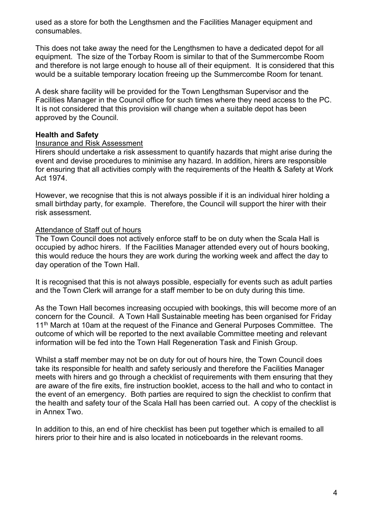used as a store for both the Lengthsmen and the Facilities Manager equipment and consumables.

This does not take away the need for the Lengthsmen to have a dedicated depot for all equipment. The size of the Torbay Room is similar to that of the Summercombe Room and therefore is not large enough to house all of their equipment. It is considered that this would be a suitable temporary location freeing up the Summercombe Room for tenant.

A desk share facility will be provided for the Town Lengthsman Supervisor and the Facilities Manager in the Council office for such times where they need access to the PC. It is not considered that this provision will change when a suitable depot has been approved by the Council.

#### **Health and Safety**

#### Insurance and Risk Assessment

Hirers should undertake a risk assessment to quantify hazards that might arise during the event and devise procedures to minimise any hazard. In addition, hirers are responsible for ensuring that all activities comply with the requirements of the Health & Safety at Work Act 1974.

However, we recognise that this is not always possible if it is an individual hirer holding a small birthday party, for example. Therefore, the Council will support the hirer with their risk assessment.

#### Attendance of Staff out of hours

The Town Council does not actively enforce staff to be on duty when the Scala Hall is occupied by adhoc hirers. If the Facilities Manager attended every out of hours booking, this would reduce the hours they are work during the working week and affect the day to day operation of the Town Hall.

It is recognised that this is not always possible, especially for events such as adult parties and the Town Clerk will arrange for a staff member to be on duty during this time.

As the Town Hall becomes increasing occupied with bookings, this will become more of an concern for the Council. A Town Hall Sustainable meeting has been organised for Friday 11<sup>th</sup> March at 10am at the request of the Finance and General Purposes Committee. The outcome of which will be reported to the next available Committee meeting and relevant information will be fed into the Town Hall Regeneration Task and Finish Group.

Whilst a staff member may not be on duty for out of hours hire, the Town Council does take its responsible for health and safety seriously and therefore the Facilities Manager meets with hirers and go through a checklist of requirements with them ensuring that they are aware of the fire exits, fire instruction booklet, access to the hall and who to contact in the event of an emergency. Both parties are required to sign the checklist to confirm that the health and safety tour of the Scala Hall has been carried out. A copy of the checklist is in Annex Two.

In addition to this, an end of hire checklist has been put together which is emailed to all hirers prior to their hire and is also located in noticeboards in the relevant rooms.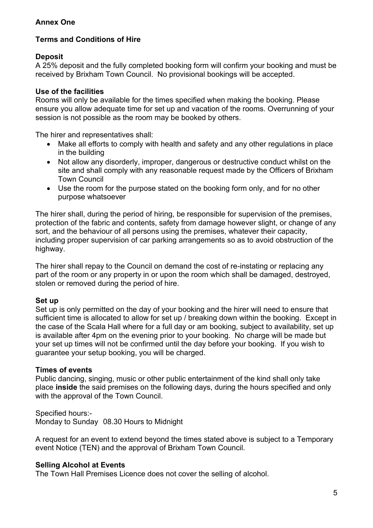#### **Annex One**

## **Terms and Conditions of Hire**

#### **Deposit**

A 25% deposit and the fully completed booking form will confirm your booking and must be received by Brixham Town Council. No provisional bookings will be accepted.

#### **Use of the facilities**

Rooms will only be available for the times specified when making the booking. Please ensure you allow adequate time for set up and vacation of the rooms. Overrunning of your session is not possible as the room may be booked by others.

The hirer and representatives shall:

- Make all efforts to comply with health and safety and any other regulations in place in the building
- Not allow any disorderly, improper, dangerous or destructive conduct whilst on the site and shall comply with any reasonable request made by the Officers of Brixham Town Council
- Use the room for the purpose stated on the booking form only, and for no other purpose whatsoever

The hirer shall, during the period of hiring, be responsible for supervision of the premises, protection of the fabric and contents, safety from damage however slight, or change of any sort, and the behaviour of all persons using the premises, whatever their capacity, including proper supervision of car parking arrangements so as to avoid obstruction of the highway.

The hirer shall repay to the Council on demand the cost of re-instating or replacing any part of the room or any property in or upon the room which shall be damaged, destroyed, stolen or removed during the period of hire.

#### **Set up**

Set up is only permitted on the day of your booking and the hirer will need to ensure that sufficient time is allocated to allow for set up / breaking down within the booking. Except in the case of the Scala Hall where for a full day or am booking, subject to availability, set up is available after 4pm on the evening prior to your booking. No charge will be made but your set up times will not be confirmed until the day before your booking. If you wish to guarantee your setup booking, you will be charged.

#### **Times of events**

Public dancing, singing, music or other public entertainment of the kind shall only take place **inside** the said premises on the following days, during the hours specified and only with the approval of the Town Council.

Specified hours:-

Monday to Sunday 08.30 Hours to Midnight

A request for an event to extend beyond the times stated above is subject to a Temporary event Notice (TEN) and the approval of Brixham Town Council.

#### **Selling Alcohol at Events**

The Town Hall Premises Licence does not cover the selling of alcohol.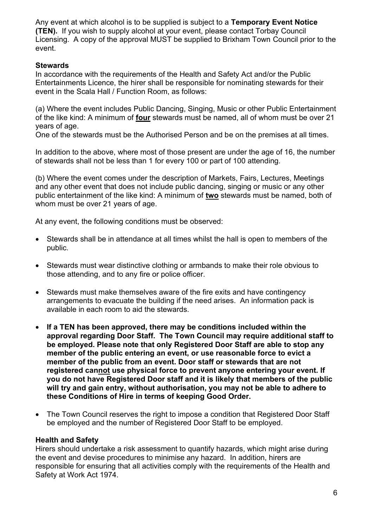Any event at which alcohol is to be supplied is subject to a **Temporary Event Notice (TEN).** If you wish to supply alcohol at your event, please contact Torbay Council Licensing. A copy of the approval MUST be supplied to Brixham Town Council prior to the event.

#### **Stewards**

In accordance with the requirements of the Health and Safety Act and/or the Public Entertainments Licence, the hirer shall be responsible for nominating stewards for their event in the Scala Hall / Function Room, as follows:

(a) Where the event includes Public Dancing, Singing, Music or other Public Entertainment of the like kind: A minimum of **four** stewards must be named, all of whom must be over 21 years of age.

One of the stewards must be the Authorised Person and be on the premises at all times.

In addition to the above, where most of those present are under the age of 16, the number of stewards shall not be less than 1 for every 100 or part of 100 attending.

(b) Where the event comes under the description of Markets, Fairs, Lectures, Meetings and any other event that does not include public dancing, singing or music or any other public entertainment of the like kind: A minimum of **two** stewards must be named, both of whom must be over 21 years of age.

At any event, the following conditions must be observed:

- Stewards shall be in attendance at all times whilst the hall is open to members of the public.
- Stewards must wear distinctive clothing or armbands to make their role obvious to those attending, and to any fire or police officer.
- Stewards must make themselves aware of the fire exits and have contingency arrangements to evacuate the building if the need arises. An information pack is available in each room to aid the stewards.
- **If a TEN has been approved, there may be conditions included within the approval regarding Door Staff. The Town Council may require additional staff to be employed. Please note that only Registered Door Staff are able to stop any member of the public entering an event, or use reasonable force to evict a member of the public from an event. Door staff or stewards that are not registered cannot use physical force to prevent anyone entering your event. If you do not have Registered Door staff and it is likely that members of the public will try and gain entry, without authorisation, you may not be able to adhere to these Conditions of Hire in terms of keeping Good Order.**
- The Town Council reserves the right to impose a condition that Registered Door Staff be employed and the number of Registered Door Staff to be employed.

#### **Health and Safety**

Hirers should undertake a risk assessment to quantify hazards, which might arise during the event and devise procedures to minimise any hazard. In addition, hirers are responsible for ensuring that all activities comply with the requirements of the Health and Safety at Work Act 1974.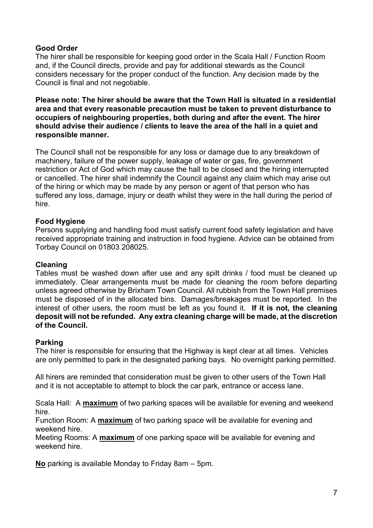#### **Good Order**

The hirer shall be responsible for keeping good order in the Scala Hall / Function Room and, if the Council directs, provide and pay for additional stewards as the Council considers necessary for the proper conduct of the function. Any decision made by the Council is final and not negotiable.

**Please note: The hirer should be aware that the Town Hall is situated in a residential area and that every reasonable precaution must be taken to prevent disturbance to occupiers of neighbouring properties, both during and after the event. The hirer should advise their audience / clients to leave the area of the hall in a quiet and responsible manner.**

The Council shall not be responsible for any loss or damage due to any breakdown of machinery, failure of the power supply, leakage of water or gas, fire, government restriction or Act of God which may cause the hall to be closed and the hiring interrupted or cancelled. The hirer shall indemnify the Council against any claim which may arise out of the hiring or which may be made by any person or agent of that person who has suffered any loss, damage, injury or death whilst they were in the hall during the period of hire.

#### **Food Hygiene**

Persons supplying and handling food must satisfy current food safety legislation and have received appropriate training and instruction in food hygiene. Advice can be obtained from Torbay Council on 01803 208025.

#### **Cleaning**

Tables must be washed down after use and any spilt drinks / food must be cleaned up immediately. Clear arrangements must be made for cleaning the room before departing unless agreed otherwise by Brixham Town Council. All rubbish from the Town Hall premises must be disposed of in the allocated bins. Damages/breakages must be reported. In the interest of other users, the room must be left as you found it. **If it is not, the cleaning deposit will not be refunded. Any extra cleaning charge will be made, at the discretion of the Council.**

#### **Parking**

The hirer is responsible for ensuring that the Highway is kept clear at all times. Vehicles are only permitted to park in the designated parking bays. No overnight parking permitted.

All hirers are reminded that consideration must be given to other users of the Town Hall and it is not acceptable to attempt to block the car park, entrance or access lane.

Scala Hall: A **maximum** of two parking spaces will be available for evening and weekend hire.

Function Room: A **maximum** of two parking space will be available for evening and weekend hire.

Meeting Rooms: A **maximum** of one parking space will be available for evening and weekend hire.

**No** parking is available Monday to Friday 8am – 5pm.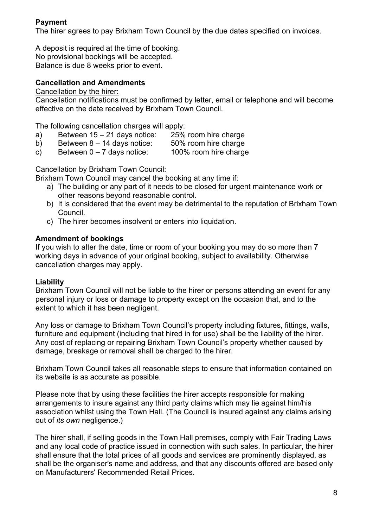## **Payment**

The hirer agrees to pay Brixham Town Council by the due dates specified on invoices.

A deposit is required at the time of booking. No provisional bookings will be accepted. Balance is due 8 weeks prior to event.

## **Cancellation and Amendments**

Cancellation by the hirer:

Cancellation notifications must be confirmed by letter, email or telephone and will become effective on the date received by Brixham Town Council.

The following cancellation charges will apply:

- a) Between  $15 21$  days notice:  $25\%$  room hire charge
- b) Between 8 14 days notice: 50% room hire charge
	-
- c) Between  $0 7$  days notice: 100% room hire charge

Cancellation by Brixham Town Council:

Brixham Town Council may cancel the booking at any time if:

- a) The building or any part of it needs to be closed for urgent maintenance work or other reasons beyond reasonable control.
- b) It is considered that the event may be detrimental to the reputation of Brixham Town Council.
- c) The hirer becomes insolvent or enters into liquidation.

## **Amendment of bookings**

If you wish to alter the date, time or room of your booking you may do so more than 7 working days in advance of your original booking, subject to availability. Otherwise cancellation charges may apply.

#### **Liability**

Brixham Town Council will not be liable to the hirer or persons attending an event for any personal injury or loss or damage to property except on the occasion that, and to the extent to which it has been negligent.

Any loss or damage to Brixham Town Council's property including fixtures, fittings, walls, furniture and equipment (including that hired in for use) shall be the liability of the hirer. Any cost of replacing or repairing Brixham Town Council's property whether caused by damage, breakage or removal shall be charged to the hirer.

Brixham Town Council takes all reasonable steps to ensure that information contained on its website is as accurate as possible.

Please note that by using these facilities the hirer accepts responsible for making arrangements to insure against any third party claims which may lie against him/his association whilst using the Town Hall. (The Council is insured against any claims arising out of *its own* negligence.)

The hirer shall, if selling goods in the Town Hall premises, comply with Fair Trading Laws and any local code of practice issued in connection with such sales. In particular, the hirer shall ensure that the total prices of all goods and services are prominently displayed, as shall be the organiser's name and address, and that any discounts offered are based only on Manufacturers' Recommended Retail Prices.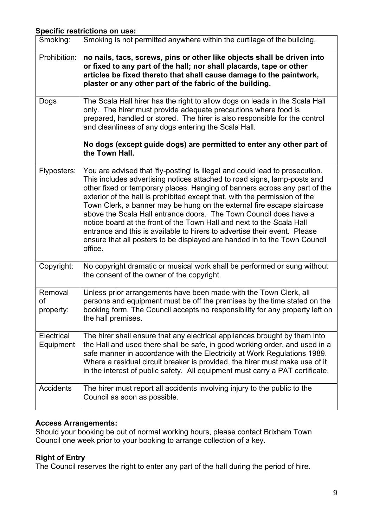#### **Specific restrictions on use:**

| Smoking:                   | Smoking is not permitted anywhere within the curtilage of the building.                                                                                                                                                                                                                                                                                                                                                                                                                                                                                                                                                                                                                                           |
|----------------------------|-------------------------------------------------------------------------------------------------------------------------------------------------------------------------------------------------------------------------------------------------------------------------------------------------------------------------------------------------------------------------------------------------------------------------------------------------------------------------------------------------------------------------------------------------------------------------------------------------------------------------------------------------------------------------------------------------------------------|
| Prohibition:               | no nails, tacs, screws, pins or other like objects shall be driven into<br>or fixed to any part of the hall; nor shall placards, tape or other<br>articles be fixed thereto that shall cause damage to the paintwork,<br>plaster or any other part of the fabric of the building.                                                                                                                                                                                                                                                                                                                                                                                                                                 |
| Dogs                       | The Scala Hall hirer has the right to allow dogs on leads in the Scala Hall<br>only. The hirer must provide adequate precautions where food is<br>prepared, handled or stored. The hirer is also responsible for the control<br>and cleanliness of any dogs entering the Scala Hall.                                                                                                                                                                                                                                                                                                                                                                                                                              |
|                            | No dogs (except guide dogs) are permitted to enter any other part of<br>the Town Hall.                                                                                                                                                                                                                                                                                                                                                                                                                                                                                                                                                                                                                            |
| Flyposters:                | You are advised that 'fly-posting' is illegal and could lead to prosecution.<br>This includes advertising notices attached to road signs, lamp-posts and<br>other fixed or temporary places. Hanging of banners across any part of the<br>exterior of the hall is prohibited except that, with the permission of the<br>Town Clerk, a banner may be hung on the external fire escape staircase<br>above the Scala Hall entrance doors. The Town Council does have a<br>notice board at the front of the Town Hall and next to the Scala Hall<br>entrance and this is available to hirers to advertise their event. Please<br>ensure that all posters to be displayed are handed in to the Town Council<br>office. |
| Copyright:                 | No copyright dramatic or musical work shall be performed or sung without<br>the consent of the owner of the copyright.                                                                                                                                                                                                                                                                                                                                                                                                                                                                                                                                                                                            |
| Removal<br>of<br>property: | Unless prior arrangements have been made with the Town Clerk, all<br>persons and equipment must be off the premises by the time stated on the<br>booking form. The Council accepts no responsibility for any property left on<br>the hall premises.                                                                                                                                                                                                                                                                                                                                                                                                                                                               |
| Electrical<br>Equipment    | The hirer shall ensure that any electrical appliances brought by them into<br>the Hall and used there shall be safe, in good working order, and used in a<br>safe manner in accordance with the Electricity at Work Regulations 1989.<br>Where a residual circuit breaker is provided, the hirer must make use of it<br>in the interest of public safety. All equipment must carry a PAT certificate.                                                                                                                                                                                                                                                                                                             |
| <b>Accidents</b>           | The hirer must report all accidents involving injury to the public to the<br>Council as soon as possible.                                                                                                                                                                                                                                                                                                                                                                                                                                                                                                                                                                                                         |

#### **Access Arrangements:**

Should your booking be out of normal working hours, please contact Brixham Town Council one week prior to your booking to arrange collection of a key.

# **Right of Entry**

The Council reserves the right to enter any part of the hall during the period of hire.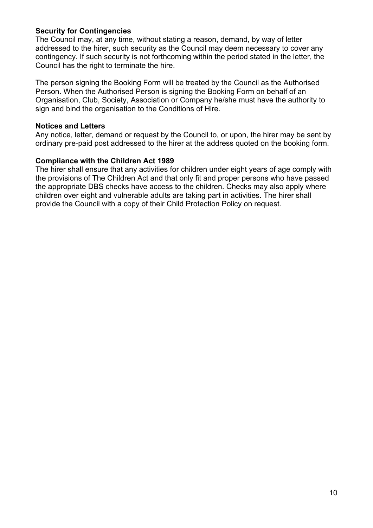#### **Security for Contingencies**

The Council may, at any time, without stating a reason, demand, by way of letter addressed to the hirer, such security as the Council may deem necessary to cover any contingency. If such security is not forthcoming within the period stated in the letter, the Council has the right to terminate the hire.

The person signing the Booking Form will be treated by the Council as the Authorised Person. When the Authorised Person is signing the Booking Form on behalf of an Organisation, Club, Society, Association or Company he/she must have the authority to sign and bind the organisation to the Conditions of Hire.

#### **Notices and Letters**

Any notice, letter, demand or request by the Council to, or upon, the hirer may be sent by ordinary pre-paid post addressed to the hirer at the address quoted on the booking form.

#### **Compliance with the Children Act 1989**

The hirer shall ensure that any activities for children under eight years of age comply with the provisions of The Children Act and that only fit and proper persons who have passed the appropriate DBS checks have access to the children. Checks may also apply where children over eight and vulnerable adults are taking part in activities. The hirer shall provide the Council with a copy of their Child Protection Policy on request.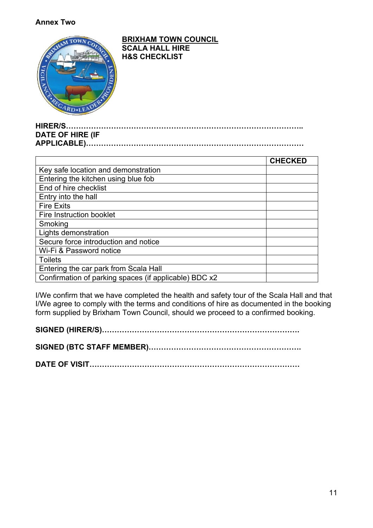#### **Annex Two**



#### **HIRER/S………………………………………………………………………………….. DATE OF HIRE (IF APPLICABLE)……………………………………………………………………………**

|                                                       | <b>CHECKED</b> |
|-------------------------------------------------------|----------------|
| Key safe location and demonstration                   |                |
| Entering the kitchen using blue fob                   |                |
| End of hire checklist                                 |                |
| Entry into the hall                                   |                |
| <b>Fire Exits</b>                                     |                |
| Fire Instruction booklet                              |                |
| Smoking                                               |                |
| Lights demonstration                                  |                |
| Secure force introduction and notice                  |                |
| Wi-Fi & Password notice                               |                |
| <b>Toilets</b>                                        |                |
| Entering the car park from Scala Hall                 |                |
| Confirmation of parking spaces (if applicable) BDC x2 |                |

I/We confirm that we have completed the health and safety tour of the Scala Hall and that I/We agree to comply with the terms and conditions of hire as documented in the booking form supplied by Brixham Town Council, should we proceed to a confirmed booking.

**SIGNED (HIRER/S)…………………………………………………………………….**

**SIGNED (BTC STAFF MEMBER)…………………………………………………….**

**DATE OF VISIT…………………………………………………………………………**